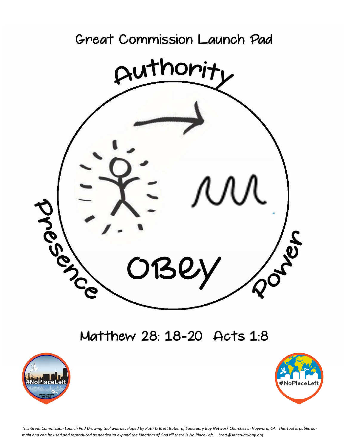

## Matthew 28: 18-20 Acts 1:8





This Great Commission Launch Pad Drawing tool was developed by Patti & Brett Butler of Sanctuary Bay Network Churches in Hayward, CA. This tool is public domain and can be used and reproduced as needed to expand the Kingdom of God till there is No Place Left. brett@sanctuarybay.org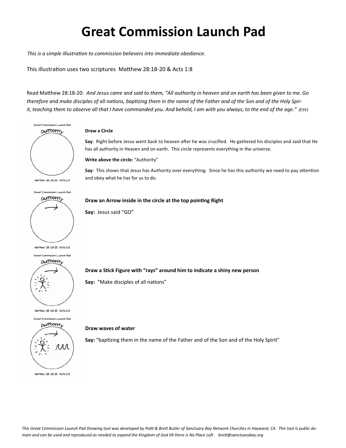# **Great Commission Launch Pad**

*This is a simple illustration to commission believers into immediate obedience.* 

This illustration uses two scriptures Matthew 28:18-20 & Acts 1:8

Read MaƩhew 28:18‐20: *And Jesus came and said to them, "All authority in heaven and on earth has been given to me. Go*  therefore and make disciples of all nations, baptizing them in the name of the Father and of the Son and of the Holy Spir*it, teaching them to observe all that I have commanded you. And behold, I am with you always, to the end of the age." (ESV)* 



Great Commission Launch Pad



Great Commission Launch Pad



Matthew 28: 18-20 Acts 18

**Draw a Circle** 

Say: Right before Jesus went back to heaven after he was crucified. He gathered his disciples and said that He has all authority in Heaven and on earth. This circle represents everything in the universe.

**Write above the circle:** "Authority"

Say: This shows that Jesus has Authority over everything. Since he has this authority we need to pay attention and obey what he has for us to do.

#### **Draw an Arrow inside in the circle at the top pointing Right**

**Say:** Jesus said "GO"

### **Draw a SƟck Figure with "rays" around him to indicate a shiny new person**

Say: "Make disciples of all nations"

#### **Draw waves of water**

Say: "baptizing them in the name of the Father and of the Son and of the Holy Spirit"